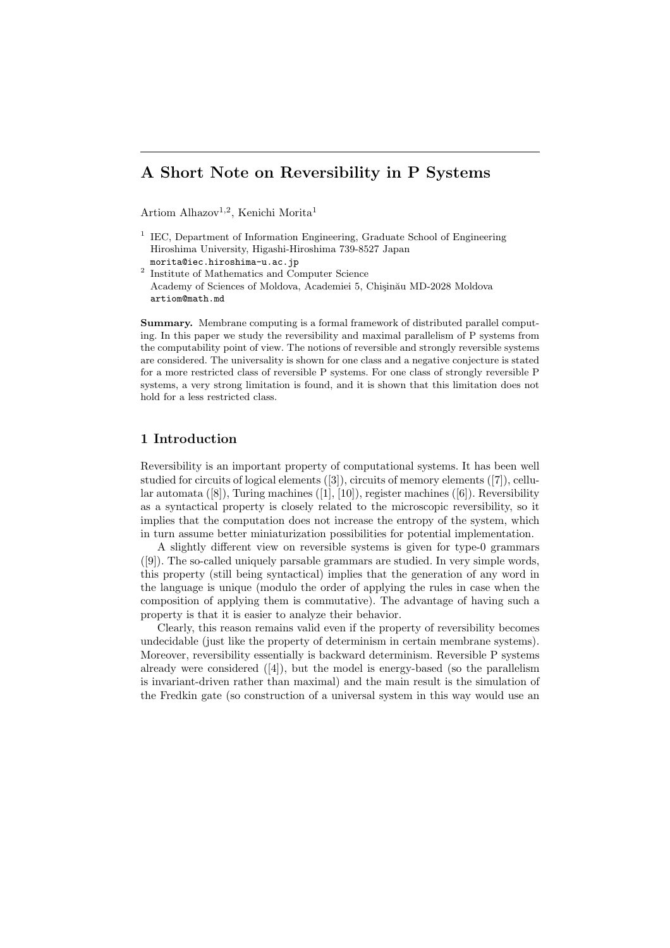# A Short Note on Reversibility in P Systems

Artiom Alhazov<sup>1,2</sup>, Kenichi Morita<sup>1</sup>

<sup>1</sup> IEC, Department of Information Engineering, Graduate School of Engineering Hiroshima University, Higashi-Hiroshima 739-8527 Japan morita@iec.hiroshima-u.ac.jp

2 Institute of Mathematics and Computer Science Academy of Sciences of Moldova, Academiei 5, Chișinău MD-2028 Moldova artiom@math.md

Summary. Membrane computing is a formal framework of distributed parallel computing. In this paper we study the reversibility and maximal parallelism of P systems from the computability point of view. The notions of reversible and strongly reversible systems are considered. The universality is shown for one class and a negative conjecture is stated for a more restricted class of reversible P systems. For one class of strongly reversible P systems, a very strong limitation is found, and it is shown that this limitation does not hold for a less restricted class.

# 1 Introduction

Reversibility is an important property of computational systems. It has been well studied for circuits of logical elements ([3]), circuits of memory elements ([7]), cellular automata ([8]), Turing machines ([1], [10]), register machines ([6]). Reversibility as a syntactical property is closely related to the microscopic reversibility, so it implies that the computation does not increase the entropy of the system, which in turn assume better miniaturization possibilities for potential implementation.

A slightly different view on reversible systems is given for type-0 grammars ([9]). The so-called uniquely parsable grammars are studied. In very simple words, this property (still being syntactical) implies that the generation of any word in the language is unique (modulo the order of applying the rules in case when the composition of applying them is commutative). The advantage of having such a property is that it is easier to analyze their behavior.

Clearly, this reason remains valid even if the property of reversibility becomes undecidable (just like the property of determinism in certain membrane systems). Moreover, reversibility essentially is backward determinism. Reversible P systems already were considered  $([4])$ , but the model is energy-based (so the parallelism is invariant-driven rather than maximal) and the main result is the simulation of the Fredkin gate (so construction of a universal system in this way would use an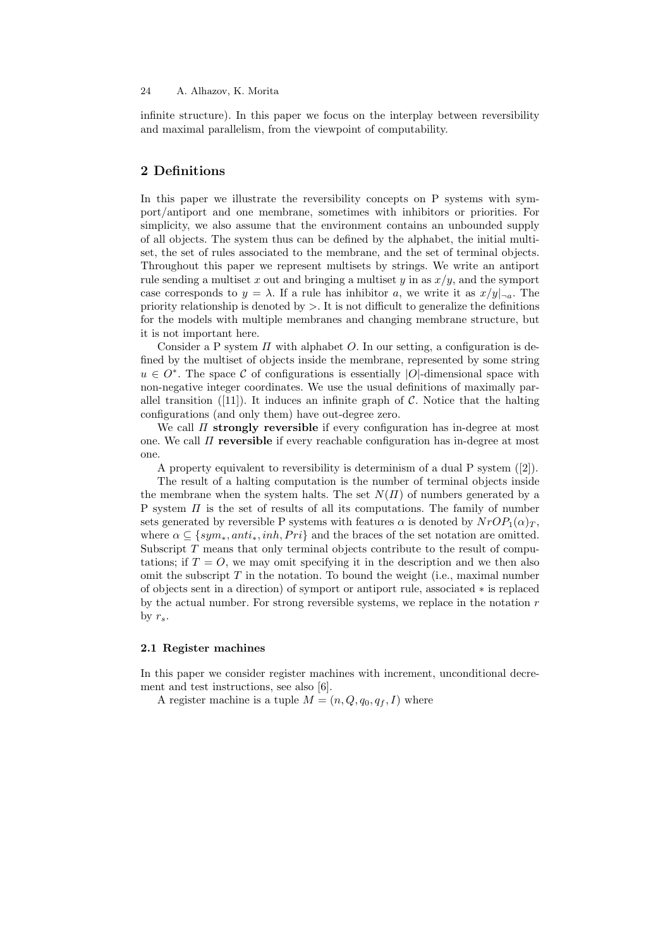#### 24 A. Alhazov, K. Morita

infinite structure). In this paper we focus on the interplay between reversibility and maximal parallelism, from the viewpoint of computability.

# 2 Definitions

In this paper we illustrate the reversibility concepts on P systems with symport/antiport and one membrane, sometimes with inhibitors or priorities. For simplicity, we also assume that the environment contains an unbounded supply of all objects. The system thus can be defined by the alphabet, the initial multiset, the set of rules associated to the membrane, and the set of terminal objects. Throughout this paper we represent multisets by strings. We write an antiport rule sending a multiset x out and bringing a multiset y in as  $x/y$ , and the symport case corresponds to  $y = \lambda$ . If a rule has inhibitor a, we write it as  $x/y_{\text{max}}$ . The priority relationship is denoted by  $>$ . It is not difficult to generalize the definitions for the models with multiple membranes and changing membrane structure, but it is not important here.

Consider a P system  $\Pi$  with alphabet O. In our setting, a configuration is defined by the multiset of objects inside the membrane, represented by some string  $u \in O^*$ . The space C of configurations is essentially |O|-dimensional space with non-negative integer coordinates. We use the usual definitions of maximally parallel transition ([11]). It induces an infinite graph of  $\mathcal C$ . Notice that the halting configurations (and only them) have out-degree zero.

We call  $\Pi$  strongly reversible if every configuration has in-degree at most one. We call  $\Pi$  reversible if every reachable configuration has in-degree at most one.

A property equivalent to reversibility is determinism of a dual P system ([2]).

The result of a halting computation is the number of terminal objects inside the membrane when the system halts. The set  $N(\Pi)$  of numbers generated by a P system  $\Pi$  is the set of results of all its computations. The family of number sets generated by reversible P systems with features  $\alpha$  is denoted by  $NrOP_1(\alpha)_T$ , where  $\alpha \subseteq \{sym_*, anti_*, inh, Pri\}$  and the braces of the set notation are omitted. Subscript  $T$  means that only terminal objects contribute to the result of computations; if  $T = 0$ , we may omit specifying it in the description and we then also omit the subscript  $T$  in the notation. To bound the weight (i.e., maximal number of objects sent in a direction) of symport or antiport rule, associated ∗ is replaced by the actual number. For strong reversible systems, we replace in the notation  $r$ by  $r_{s}$ .

#### 2.1 Register machines

In this paper we consider register machines with increment, unconditional decrement and test instructions, see also [6].

A register machine is a tuple  $M = (n, Q, q_0, q_f, I)$  where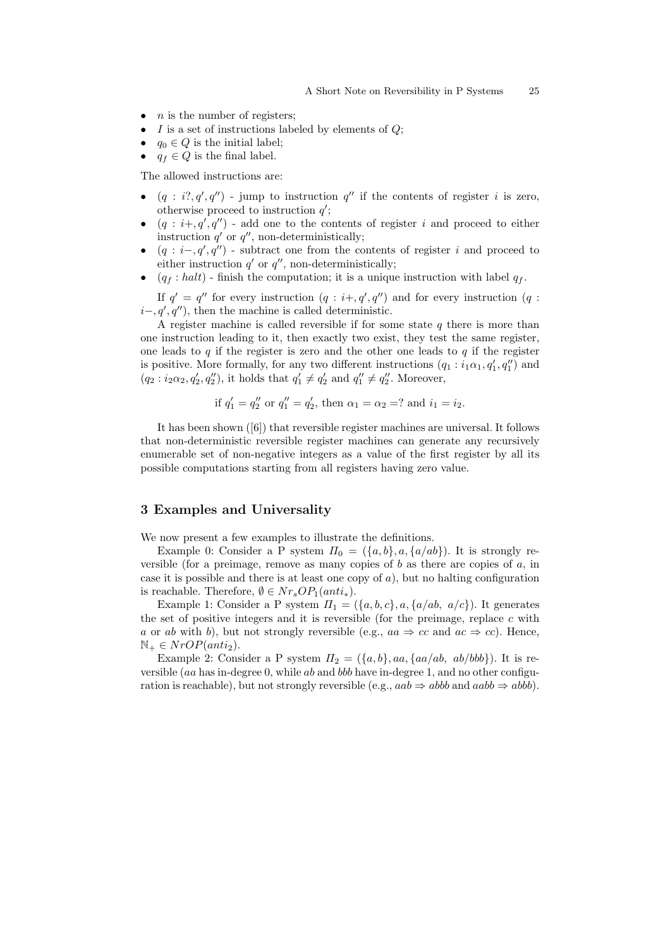- $n$  is the number of registers;
- I is a set of instructions labeled by elements of  $Q$ ;
- $q_0 \in Q$  is the initial label;
- $q_f \in Q$  is the final label.

The allowed instructions are:

- $(q : i^{\prime}, q', q'')$  jump to instruction  $q''$  if the contents of register i is zero, otherwise proceed to instruction  $q'$ ;
- $(q : i+, q', q'')$  add one to the contents of register i and proceed to either instruction  $q'$  or  $q''$ , non-deterministically;
- $(q : i-, q', q'')$  subtract one from the contents of register i and proceed to either instruction  $q'$  or  $q''$ , non-deterministically;
- $(q_f : halt)$  finish the computation; it is a unique instruction with label  $q_f$ .

If  $q' = q''$  for every instruction  $(q : i+, q', q'')$  and for every instruction  $(q : i, q', q'')$  $i-, q', q'$ , then the machine is called deterministic.

A register machine is called reversible if for some state  $q$  there is more than one instruction leading to it, then exactly two exist, they test the same register, one leads to q if the register is zero and the other one leads to  $q$  if the register is positive. More formally, for any two different instructions  $(q_1 : i_1\alpha_1, q'_1, q''_1)$  and  $(q_2 : i_2 \alpha_2, q'_2, q''_2)$ , it holds that  $q'_1 \neq q'_2$  and  $q''_1 \neq q''_2$ . Moreover,

if 
$$
q'_1 = q''_2
$$
 or  $q''_1 = q'_2$ , then  $\alpha_1 = \alpha_2 = ?$  and  $i_1 = i_2$ .

It has been shown ([6]) that reversible register machines are universal. It follows that non-deterministic reversible register machines can generate any recursively enumerable set of non-negative integers as a value of the first register by all its possible computations starting from all registers having zero value.

# 3 Examples and Universality

We now present a few examples to illustrate the definitions.

Example 0: Consider a P system  $\Pi_0 = (\{a, b\}, a, \{a/ab\})$ . It is strongly reversible (for a preimage, remove as many copies of b as there are copies of  $a$ , in case it is possible and there is at least one copy of  $a$ ), but no halting configuration is reachable. Therefore,  $\emptyset \in \mathit{Nr}_sOP_1(anti_*)$ .

Example 1: Consider a P system  $\Pi_1 = (\{a, b, c\}, a, \{a/ab, a/c\})$ . It generates the set of positive integers and it is reversible (for the preimage, replace  $c$  with a or ab with b), but not strongly reversible (e.g.,  $aa \Rightarrow cc$  and  $ac \Rightarrow cc$ ). Hence,  $\mathbb{N}_+ \in NrOP(anti_2).$ 

Example 2: Consider a P system  $\Pi_2 = (\{a, b\}, aa, \{aa/ab, ab/bbb\})$ . It is reversible (aa has in-degree 0, while ab and bbb have in-degree 1, and no other configuration is reachable), but not strongly reversible (e.g.,  $aab \Rightarrow abbb$  and  $aabb \Rightarrow abbb$ ).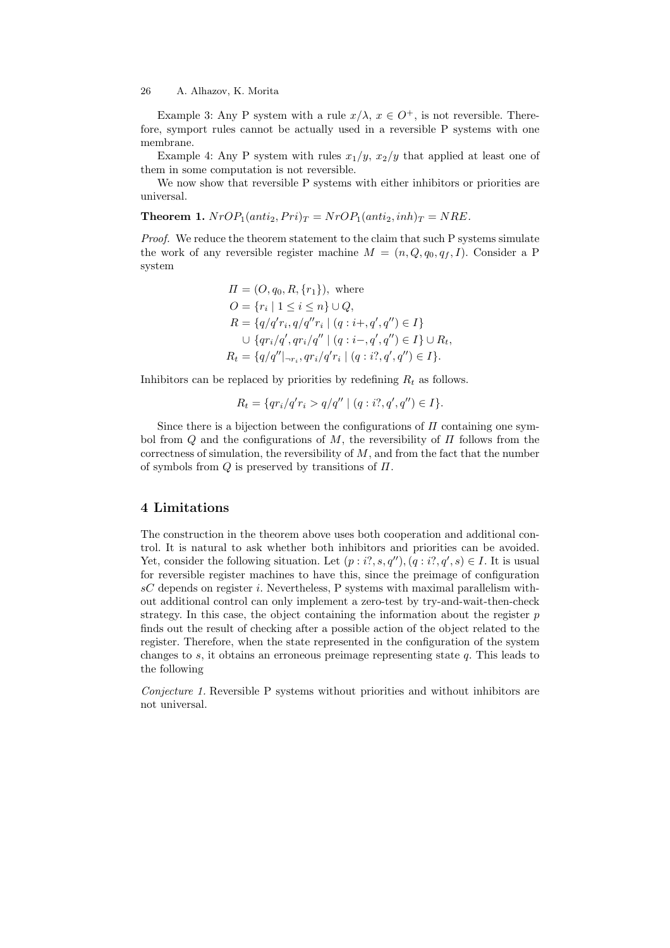#### 26 A. Alhazov, K. Morita

Example 3: Any P system with a rule  $x/\lambda$ ,  $x \in O^+$ , is not reversible. Therefore, symport rules cannot be actually used in a reversible P systems with one membrane.

Example 4: Any P system with rules  $x_1/y$ ,  $x_2/y$  that applied at least one of them in some computation is not reversible.

We now show that reversible P systems with either inhibitors or priorities are universal.

**Theorem 1.**  $NrOP_1(anti_2, Pri)_T = NrOP_1(anti_2, inh)_T = NRE$ .

Proof. We reduce the theorem statement to the claim that such P systems simulate the work of any reversible register machine  $M = (n, Q, q_0, q_f, I)$ . Consider a P system

$$
\Pi = (O, q_0, R, \{r_1\}), \text{ where}
$$
\n
$$
O = \{r_i \mid 1 \le i \le n\} \cup Q,
$$
\n
$$
R = \{q/q'r_i, q/q''r_i \mid (q : i+, q', q'') \in I\}
$$
\n
$$
\cup \{qr_i/q', qr_i/q'' \mid (q : i-, q', q'') \in I\} \cup R_t,
$$
\n
$$
R_t = \{q/q''|_{\neg r_i}, qr_i/q'r_i \mid (q : i?, q', q'') \in I\}.
$$

Inhibitors can be replaced by priorities by redefining  $R_t$  as follows.

$$
R_t = \{qr_i/q'r_i > q/q'' \mid (q:i?, q', q'') \in I\}.
$$

Since there is a bijection between the configurations of  $\Pi$  containing one symbol from  $Q$  and the configurations of  $M$ , the reversibility of  $\Pi$  follows from the correctness of simulation, the reversibility of  $M$ , and from the fact that the number of symbols from  $Q$  is preserved by transitions of  $\Pi$ .

## 4 Limitations

The construction in the theorem above uses both cooperation and additional control. It is natural to ask whether both inhibitors and priorities can be avoided. Yet, consider the following situation. Let  $(p : i?, s, q''), (q : i?, q', s) \in I$ . It is usual for reversible register machines to have this, since the preimage of configuration  $sC$  depends on register i. Nevertheless, P systems with maximal parallelism without additional control can only implement a zero-test by try-and-wait-then-check strategy. In this case, the object containing the information about the register  $p$ finds out the result of checking after a possible action of the object related to the register. Therefore, when the state represented in the configuration of the system changes to  $s$ , it obtains an erroneous preimage representing state  $q$ . This leads to the following

Conjecture 1. Reversible P systems without priorities and without inhibitors are not universal.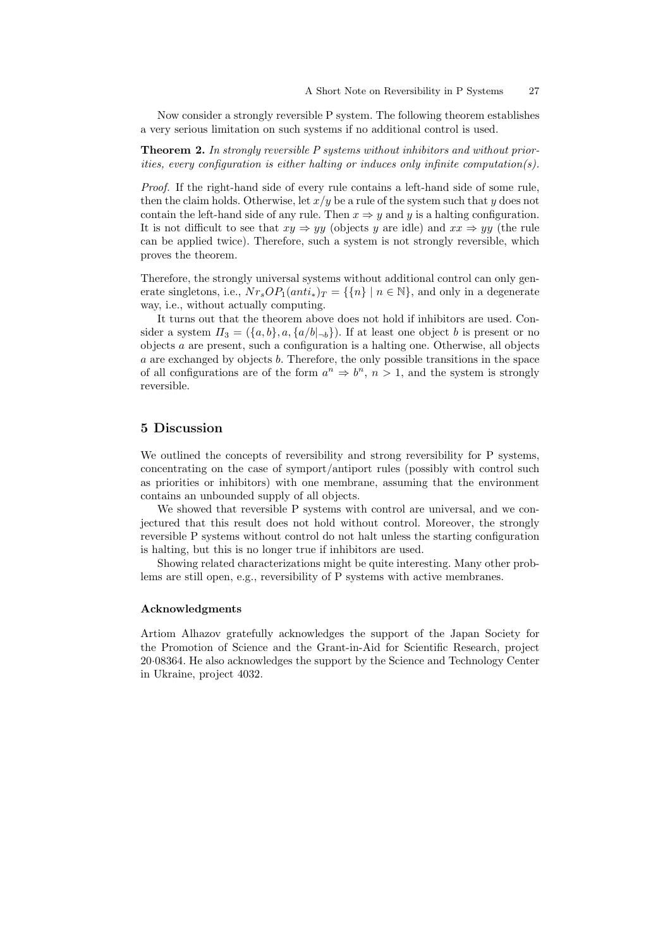Now consider a strongly reversible P system. The following theorem establishes a very serious limitation on such systems if no additional control is used.

**Theorem 2.** In strongly reversible P systems without inhibitors and without priorities, every configuration is either halting or induces only infinite computation(s).

Proof. If the right-hand side of every rule contains a left-hand side of some rule, then the claim holds. Otherwise, let  $x/y$  be a rule of the system such that y does not contain the left-hand side of any rule. Then  $x \Rightarrow y$  and y is a halting configuration. It is not difficult to see that  $xy \Rightarrow yy$  (objects y are idle) and  $xx \Rightarrow yy$  (the rule can be applied twice). Therefore, such a system is not strongly reversible, which proves the theorem.

Therefore, the strongly universal systems without additional control can only generate singletons, i.e.,  $Nr_sOP_1(anti_*)_T = {\{n\} \mid n \in \mathbb{N}\}$ , and only in a degenerate way, i.e., without actually computing.

It turns out that the theorem above does not hold if inhibitors are used. Consider a system  $\Pi_3 = (\{a, b\}, a, \{a/b |_{\neg b}\})$ . If at least one object b is present or no objects a are present, such a configuration is a halting one. Otherwise, all objects a are exchanged by objects b. Therefore, the only possible transitions in the space of all configurations are of the form  $a^n \Rightarrow b^n$ ,  $n > 1$ , and the system is strongly reversible.

## 5 Discussion

We outlined the concepts of reversibility and strong reversibility for P systems, concentrating on the case of symport/antiport rules (possibly with control such as priorities or inhibitors) with one membrane, assuming that the environment contains an unbounded supply of all objects.

We showed that reversible P systems with control are universal, and we conjectured that this result does not hold without control. Moreover, the strongly reversible P systems without control do not halt unless the starting configuration is halting, but this is no longer true if inhibitors are used.

Showing related characterizations might be quite interesting. Many other problems are still open, e.g., reversibility of P systems with active membranes.

#### Acknowledgments

Artiom Alhazov gratefully acknowledges the support of the Japan Society for the Promotion of Science and the Grant-in-Aid for Scientific Research, project 20·08364. He also acknowledges the support by the Science and Technology Center in Ukraine, project 4032.